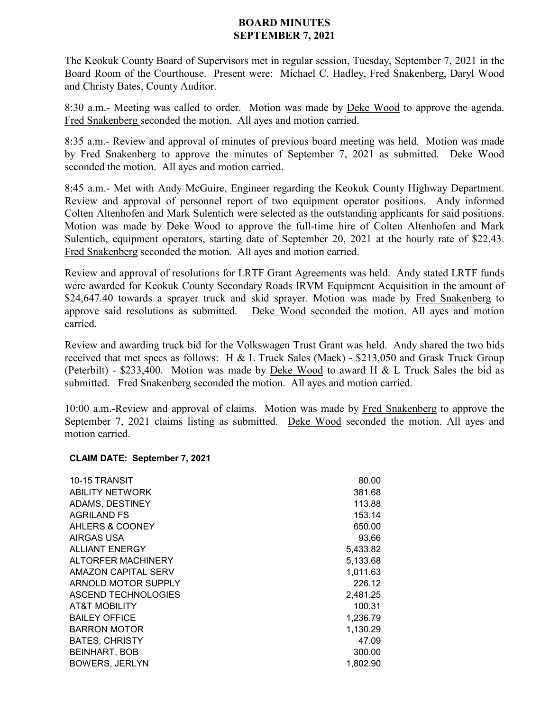## **BOARD MINUTES SEPTEMBER 7, 2021**

The Keokuk County Board of Supervisors met in regular session, Tuesday, September 7, 2021 in the Board Room of the Courthouse. Present were: Michael C. Hadley, Fred Snakenberg, Daryl Wood and Christy Bates, County Auditor.

8:30 a.m.- Meeting was called to order. Motion was made by **Deke Wood** to approve the agenda. Fred Snakenberg seconded the motion. All ayes and motion carried.

8:35 a.m.- Review and approval of minutes of previous board meeting was held. Motion was made by Fred Snakenberg to approve the minutes of September 7, 2021 as submitted. Deke Wood seconded the motion. All ayes and motion carried.

8:45 a.m.- Met with Andy McGuire, Engineer regarding the Keokuk County Highway Department. Review and approval of personnel report of two equipment operator positions. Andy informed Colten Altenhofen and Mark Sulentich were selected as the outstanding applicants for said positions. Motion was made by Deke Wood to approve the full-time hire of Colten Altenhofen and Mark Sulentich, equipment operators, starting date of September 20, 2021 at the hourly rate of \$22.43. Fred Snakenberg seconded the motion. All ayes and motion carried.

Review and approval of resolutions for LRTF Grant Agreements was held. Andy stated LRTF funds were awarded for Keokuk County Secondary Roads IRVM Equipment Acquisition in the amount of \$24,647.40 towards a sprayer truck and skid sprayer. Motion was made by Fred Snakenberg to approve said resolutions as submitted. Deke Wood seconded the motion. All ayes and motion carried.

Review and awarding truck bid for the Volkswagen Trust Grant was held. Andy shared the two bids received that met specs as follows: H & L Truck Sales (Mack) - \$213,050 and Grask Truck Group (Peterbilt) - \$233,400. Motion was made by Deke Wood to award H & L Truck Sales the bid as submitted. Fred Snakenberg seconded the motion. All ayes and motion carried.

10:00 a.m.-Review and approval of claims. Motion was made by Fred Snakenberg to approve the September 7, 2021 claims listing as submitted. Deke Wood seconded the motion. All ayes and motion carried.

## **CLAIM DATE: September 7, 2021**

| 10-15 TRANSIT            | 80.00    |
|--------------------------|----------|
| <b>ABILITY NETWORK</b>   | 381.68   |
| ADAMS, DESTINEY          | 113.88   |
| <b>AGRILAND FS</b>       | 153.14   |
| AHLERS & COONEY          | 650.00   |
| AIRGAS USA               | 93.66    |
| <b>ALLIANT ENERGY</b>    | 5,433.82 |
| ALTORFER MACHINERY       | 5,133.68 |
| AMAZON CAPITAL SERV      | 1,011.63 |
| ARNOLD MOTOR SUPPLY      | 226.12   |
| ASCEND TECHNOLOGIES      | 2,481.25 |
| <b>AT&amp;T MOBILITY</b> | 100.31   |
| <b>BAILEY OFFICE</b>     | 1,236.79 |
| <b>BARRON MOTOR</b>      | 1,130.29 |
| <b>BATES, CHRISTY</b>    | 47.09    |
| <b>BEINHART, BOB</b>     | 300.00   |
| <b>BOWERS, JERLYN</b>    | 1,802.90 |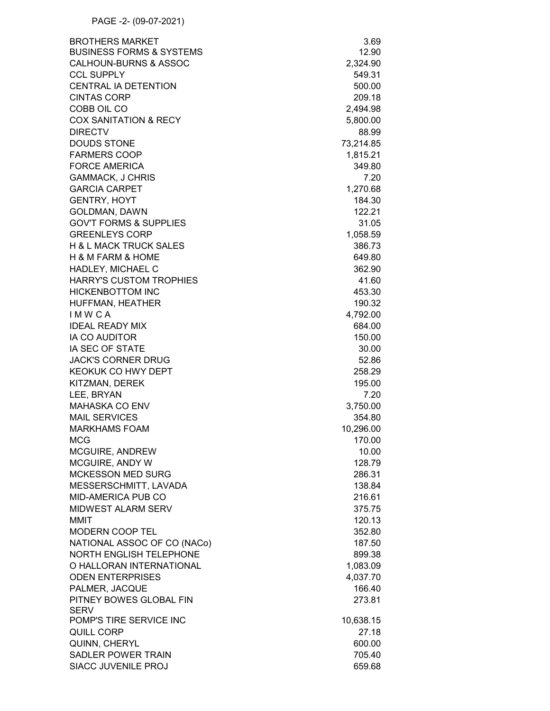BROTHERS MARKET AND STREET AND STREET AND STREET AND STREET AND STREET AND STREET AND STREET AND STREET AND ST BUSINESS FORMS & SYSTEMS 12.90 CALHOUN -BURNS & ASSOC 2,324.90 CCL SUPPLY 549.31 CENTRAL IA DETENTION 500.00 CINTAS CORP 209.18 COBB OIL CO 2,494.98 COX SANITATION & RECY 5,800.00 DIRECTV 88.99 DOUDS STONE 73,214.85 FARMERS COOP 1,815.21 FORCE AMERICA 349.80 GAMMACK, J CHRIS 7.20 GARCIA CARPET 1,270.68 GENTRY, HOYT 184.30 GOLDMAN, DAWN 122.21 GOV'T FORMS & SUPPLIES 31.05 GREENLEYS CORP 2000 1.058.59 H & L MACK TRUCK SALES 386.73 H & M FARM & HOME 649.80 HADLEY, MICHAEL C 362.90 HARRY'S CUSTOM TROPHIES 41.60 HICKENBOTTOM INC 2002 2003 2004 12:00 12:00 453.30 HUFFMAN, HEATHER 190.32 I M W C A 4,792.00 IDEAL READY MIX 684.00 IA CO AUDITOR 150.00 IA SEC OF STATE 30.00 JACK'S CORNER DRUG 52.86 KEOKUK CO HWY DEPT 258.29 KITZMAN, DEREK 195.00 LEE, BRYAN 7.20 MAHASKA CO ENV 3,750.00 MAIL SERVICES 354.80 MARKHAMS FOAM 10,296.00  $MCG$  170.00 MCGUIRE, ANDREW 10.00 MCGUIRE, ANDY W 128.79 MCKESSON MED SURG 286.31 MESSERSCHMITT, LAVADA 138.84 MID -AMERICA PUB CO 216.61 MIDWEST ALARM SERV 375.75  $MMIT$  120.13 MODERN COOP TEL 352.80 NATIONAL ASSOC OF CO (NACo) 187.50 NORTH ENGLISH TELEPHONE 899.38 O HALLORAN INTERNATIONA L 1,083.09 ODEN ENTERPRISES 4,037.70 PALMER, JACQUE 166.40 PITNEY BOWES GLOBAL FIN **SERV** 273.81 POMP'S TIRE SERVICE INC 10,638.15 QUILL CORP 27.18 QUINN, CHERYL 600.00 SADLER POWER TRAIN 705.40 SIACC JUVENILE PROJ **659.68**